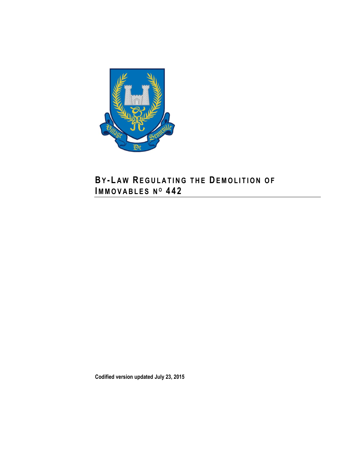

## **BY-LAW REGULATING THE DEMOLITION OF IM M O V A B L E S N <sup>O</sup> 4 4 2**

**Codified version updated July 23, 2015**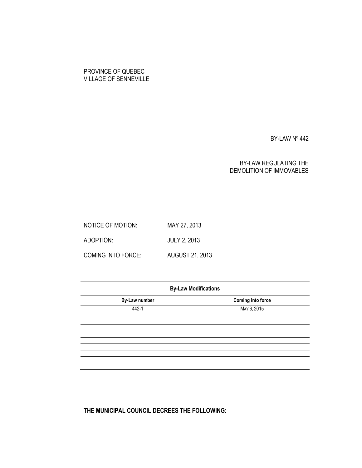### PROVINCE OF QUEBEC VILLAGE OF SENNEVILLE

BY-LAW Nº 442

### BY-LAW REGULATING THE DEMOLITION OF IMMOVABLES

NOTICE OF MOTION: MAY 27, 2013 ADOPTION: JULY 2, 2013 COMING INTO FORCE: AUGUST 21, 2013

| <b>By-Law Modifications</b> |                          |  |  |  |
|-----------------------------|--------------------------|--|--|--|
| <b>By-Law number</b>        | <b>Coming into force</b> |  |  |  |
| 442-1                       | MAY 6, 2015              |  |  |  |
|                             |                          |  |  |  |
|                             |                          |  |  |  |
|                             |                          |  |  |  |
|                             |                          |  |  |  |
|                             |                          |  |  |  |
|                             |                          |  |  |  |
|                             |                          |  |  |  |

**THE MUNICIPAL COUNCIL DECREES THE FOLLOWING:**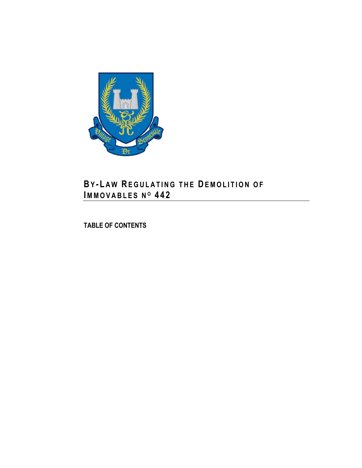

## **BY - L A W RE G U L A T I N G T H E DE M O L I T I O N O F IM M O V A B L E S N <sup>O</sup> 4 4 2**

**TABLE OF CONTENTS**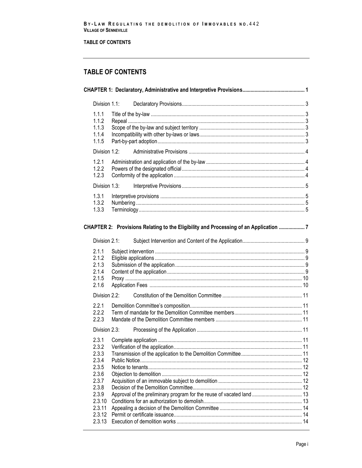### TABLE OF CONTENTS

## **TABLE OF CONTENTS**

|                | Division 1.1:    |  |                                                                                      |  |
|----------------|------------------|--|--------------------------------------------------------------------------------------|--|
| 1.1.1<br>1.1.2 |                  |  |                                                                                      |  |
| 1.1.3          |                  |  |                                                                                      |  |
| 1.1.4          |                  |  |                                                                                      |  |
| 1.1.5          |                  |  |                                                                                      |  |
|                | Division 1.2:    |  |                                                                                      |  |
| 1.2.1          |                  |  |                                                                                      |  |
| 1.2.2          |                  |  |                                                                                      |  |
| 1.2.3          |                  |  |                                                                                      |  |
|                | Division 1.3:    |  |                                                                                      |  |
| 1.3.1          |                  |  |                                                                                      |  |
| 1.3.2          |                  |  |                                                                                      |  |
| 1.3.3          |                  |  |                                                                                      |  |
|                |                  |  |                                                                                      |  |
|                |                  |  | CHAPTER 2: Provisions Relating to the Eligibility and Processing of an Application 7 |  |
|                | Division 2.1:    |  |                                                                                      |  |
| 2.1.1          |                  |  |                                                                                      |  |
| 2.1.2          |                  |  |                                                                                      |  |
| 2.1.3          |                  |  |                                                                                      |  |
| 2.1.4          |                  |  |                                                                                      |  |
| 2.1.5<br>2.1.6 |                  |  |                                                                                      |  |
|                |                  |  |                                                                                      |  |
|                | Division 2.2:    |  |                                                                                      |  |
| 2.2.1          |                  |  |                                                                                      |  |
| 2.2.2          |                  |  |                                                                                      |  |
| 2.2.3          |                  |  |                                                                                      |  |
|                | Division 2.3:    |  |                                                                                      |  |
| 2.3.1          |                  |  |                                                                                      |  |
| 2.3.2          |                  |  |                                                                                      |  |
| 2.3.3<br>2.3.4 |                  |  |                                                                                      |  |
| 2.3.5          |                  |  |                                                                                      |  |
| 2.3.6          |                  |  |                                                                                      |  |
| 2.3.7          |                  |  |                                                                                      |  |
| 2.3.8          |                  |  |                                                                                      |  |
| 2.3.9          |                  |  |                                                                                      |  |
|                | 2.3.10           |  |                                                                                      |  |
|                | 2.3.11<br>2.3.12 |  |                                                                                      |  |
|                | 2.3.13           |  |                                                                                      |  |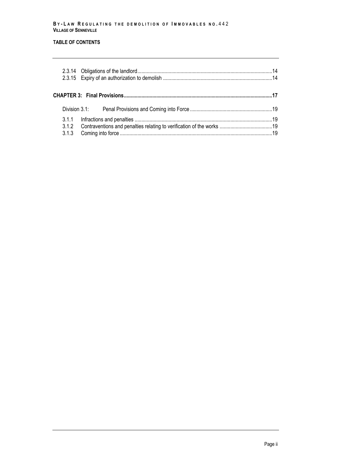#### **B Y - L A W R E G U L A T I N G T H E D E M O L I T I O N OF I M M O V A B L E S N O .** 4 4 2 **VILLAGE OF SENNEVILLE**

### **TABLE OF CONTENTS**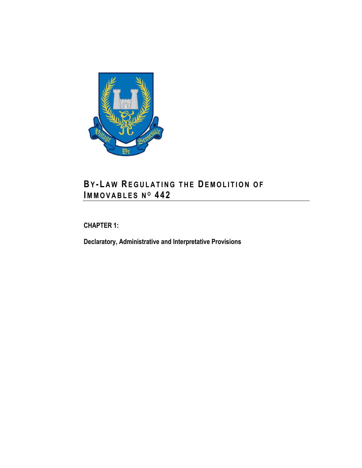

## **BY - L A W RE G U L A T I N G T H E DE M O L I T I O N O F IM M O V A B L E S N <sup>O</sup> 4 4 2**

<span id="page-8-0"></span>**CHAPTER 1:**

**Declaratory, Administrative and Interpretative Provisions**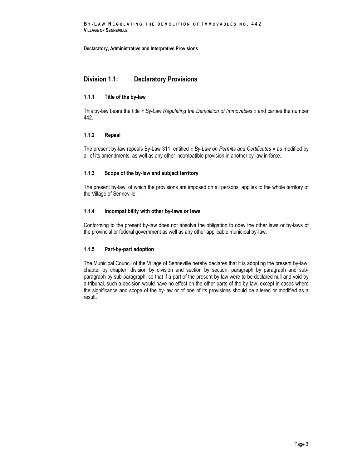### <span id="page-10-0"></span>**Division 1.1: Declaratory Provisions**

### <span id="page-10-1"></span>**1.1.1 Title of the by-law**

This by-law bears the title *« By-Law Regulating the Demolition of Immovables »* and carries the number 442.

### <span id="page-10-2"></span>**1.1.2 Repeal**

The present by-law repeals By-Law 311, entitled « *By-Law on Permits and Certificates* » as modified by all of its amendments, as well as any other incompatible provision in another by-law in force.

### <span id="page-10-3"></span>**1.1.3 Scope of the by-law and subject territory**

The present by-law, of which the provisions are imposed on all persons, applies to the whole territory of the Village of Senneville.

### <span id="page-10-4"></span>**1.1.4 Incompatibility with other by-laws or laws**

Conforming to the present by-law does not absolve the obligation to obey the other laws or by-laws of the provincial or federal government as well as any other applicable municipal by-law.

### <span id="page-10-5"></span>**1.1.5 Part-by-part adoption**

The Municipal Council of the Village of Senneville hereby declares that it is adopting the present by-law, chapter by chapter, division by division and section by section, paragraph by paragraph and subparagraph by sub-paragraph, so that if a part of the present by-law were to be declared null and void by a tribunal, such a decision would have no effect on the other parts of the by-law, except in cases where the significance and scope of the by-law or of one of its provisions should be altered or modified as a result.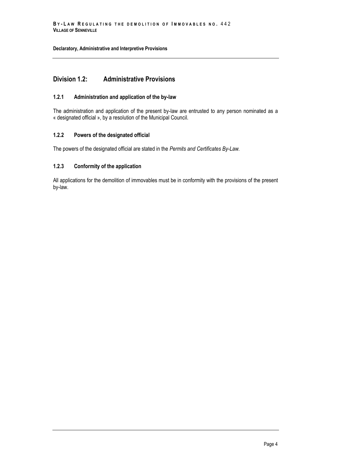### <span id="page-11-0"></span>**Division 1.2: Administrative Provisions**

### <span id="page-11-1"></span>**1.2.1 Administration and application of the by-law**

The administration and application of the present by-law are entrusted to any person nominated as a « designated official », by a resolution of the Municipal Council.

### <span id="page-11-2"></span>**1.2.2 Powers of the designated official**

<span id="page-11-3"></span>The powers of the designated official are stated in the *Permits and Certificates By-Law.*

### **1.2.3 Conformity of the application**

All applications for the demolition of immovables must be in conformity with the provisions of the present by-law.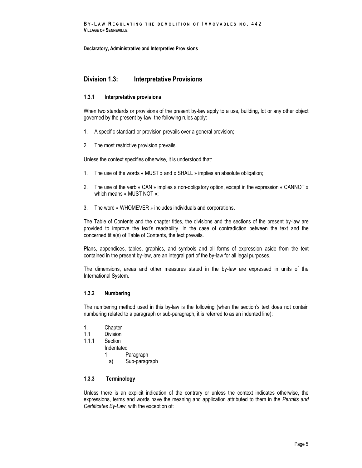### <span id="page-12-0"></span>**Division 1.3: Interpretative Provisions**

### <span id="page-12-1"></span>**1.3.1 Interpretative provisions**

When two standards or provisions of the present by-law apply to a use, building, lot or any other object governed by the present by-law, the following rules apply:

- 1. A specific standard or provision prevails over a general provision;
- 2. The most restrictive provision prevails.

Unless the context specifies otherwise, it is understood that:

- 1. The use of the words « MUST » and « SHALL » implies an absolute obligation;
- 2. The use of the verb « CAN » implies a non-obligatory option, except in the expression « CANNOT » which means « MUST NOT »;
- 3. The word « WHOMEVER » includes individuals and corporations.

The Table of Contents and the chapter titles, the divisions and the sections of the present by-law are provided to improve the text's readability. In the case of contradiction between the text and the concerned title(s) of Table of Contents, the text prevails.

Plans, appendices, tables, graphics, and symbols and all forms of expression aside from the text contained in the present by-law, are an integral part of the by-law for all legal purposes.

The dimensions, areas and other measures stated in the by-law are expressed in units of the International System.

### <span id="page-12-2"></span>**1.3.2 Numbering**

The numbering method used in this by-law is the following (when the section's text does not contain numbering related to a paragraph or sub-paragraph, it is referred to as an indented line):

- 1. Chapter
- 1.1 Division<br>1.1.1 Section
- Section
	- Indentated
		- 1. Paragraph
		- a) Sub-paragraph

### <span id="page-12-3"></span>**1.3.3 Terminology**

Unless there is an explicit indication of the contrary or unless the context indicates otherwise, the expressions, terms and words have the meaning and application attributed to them in the *Permits and Certificates By-Law,* with the exception of: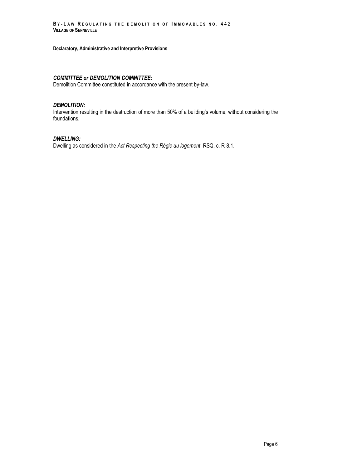### *COMMITTEE or DEMOLITION COMMITTEE:*

Demolition Committee constituted in accordance with the present by-law.

#### *DEMOLITION:*

Intervention resulting in the destruction of more than 50% of a building's volume, without considering the foundations.

### *DWELLING:*

Dwelling as considered in the *Act Respecting the Régie du logement*, RSQ, c. R-8.1.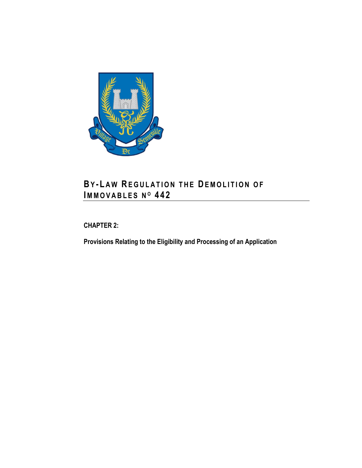

## **BY-LAW REGULATION THE DEMOLITION OF IM M O V A B L E S N <sup>O</sup> 4 4 2**

<span id="page-14-0"></span>**CHAPTER 2:**

**Provisions Relating to the Eligibility and Processing of an Application**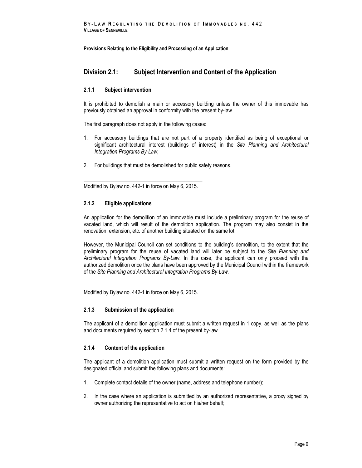### <span id="page-16-0"></span>**Division 2.1: Subject Intervention and Content of the Application**

### <span id="page-16-1"></span>**2.1.1 Subject intervention**

It is prohibited to demolish a main or accessory building unless the owner of this immovable has previously obtained an approval in conformity with the present by-law.

The first paragraph does not apply in the following cases:

- 1. For accessory buildings that are not part of a property identified as being of exceptional or significant architectural interest (buildings of interest) in the *Site Planning and Architectural Integration Programs By-Law*;
- 2. For buildings that must be demolished for public safety reasons.

\_\_\_\_\_\_\_\_\_\_\_\_\_\_\_\_\_\_\_\_\_\_\_\_\_\_\_\_\_\_\_\_\_\_\_\_\_\_\_\_\_\_\_\_ Modified by Bylaw no. 442-1 in force on May 6, 2015.

### <span id="page-16-2"></span>**2.1.2 Eligible applications**

An application for the demolition of an immovable must include a preliminary program for the reuse of vacated land, which will result of the demolition application. The program may also consist in the renovation, extension, etc. of another building situated on the same lot.

However, the Municipal Council can set conditions to the building's demolition, to the extent that the preliminary program for the reuse of vacated land will later be subject to the *Site Planning and Architectural Integration Programs By-Law.* In this case, the applicant can only proceed with the authorized demolition once the plans have been approved by the Municipal Council within the framework of the *Site Planning and Architectural Integration Programs By-Law.*

\_\_\_\_\_\_\_\_\_\_\_\_\_\_\_\_\_\_\_\_\_\_\_\_\_\_\_\_\_\_\_\_\_\_\_\_\_\_\_\_\_\_\_\_ Modified by Bylaw no. 442-1 in force on May 6, 2015.

### <span id="page-16-3"></span>**2.1.3 Submission of the application**

The applicant of a demolition application must submit a written request in 1 copy, as well as the plans and documents required by section 2.1.4 of the present by-law.

### <span id="page-16-4"></span>**2.1.4 Content of the application**

The applicant of a demolition application must submit a written request on the form provided by the designated official and submit the following plans and documents:

- 1. Complete contact details of the owner (name, address and telephone number);
- 2. In the case where an application is submitted by an authorized representative, a proxy signed by owner authorizing the representative to act on his/her behalf;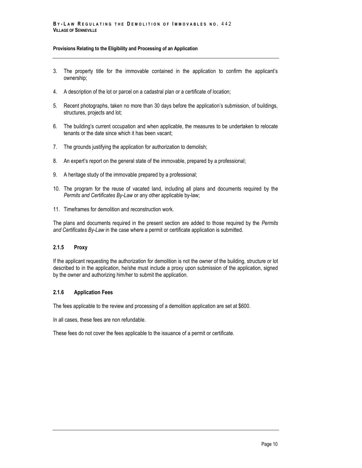- 3. The property title for the immovable contained in the application to confirm the applicant's ownership;
- 4. A description of the lot or parcel on a cadastral plan or a certificate of location;
- 5. Recent photographs, taken no more than 30 days before the application's submission, of buildings, structures, projects and lot;
- 6. The building's current occupation and when applicable, the measures to be undertaken to relocate tenants or the date since which it has been vacant;
- 7. The grounds justifying the application for authorization to demolish;
- 8. An expert's report on the general state of the immovable, prepared by a professional;
- 9. A heritage study of the immovable prepared by a professional;
- 10. The program for the reuse of vacated land, including all plans and documents required by the *Permits and Certificates By-Law* or any other applicable by-law;
- 11. Timeframes for demolition and reconstruction work.

The plans and documents required in the present section are added to those required by the *Permits and Certificates By-Law* in the case where a permit or certificate application is submitted.

### <span id="page-17-0"></span>**2.1.5 Proxy**

If the applicant requesting the authorization for demolition is not the owner of the building, structure or lot described to in the application, he/she must include a proxy upon submission of the application, signed by the owner and authorizing him/her to submit the application.

### <span id="page-17-1"></span>**2.1.6 Application Fees**

The fees applicable to the review and processing of a demolition application are set at \$600.

In all cases, these fees are non refundable.

These fees do not cover the fees applicable to the issuance of a permit or certificate.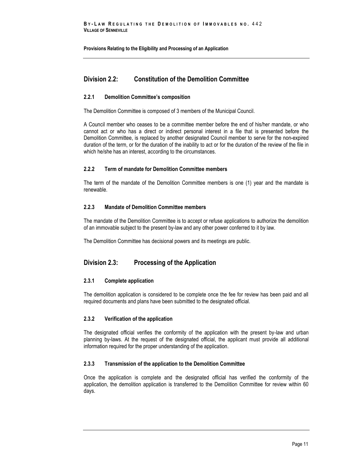### <span id="page-18-0"></span>**Division 2.2: Constitution of the Demolition Committee**

### <span id="page-18-1"></span>**2.2.1 Demolition Committee's composition**

The Demolition Committee is composed of 3 members of the Municipal Council.

A Council member who ceases to be a committee member before the end of his/her mandate, or who cannot act or who has a direct or indirect personal interest in a file that is presented before the Demolition Committee, is replaced by another designated Council member to serve for the non-expired duration of the term, or for the duration of the inability to act or for the duration of the review of the file in which he/she has an interest, according to the circumstances.

### <span id="page-18-2"></span>**2.2.2 Term of mandate for Demolition Committee members**

The term of the mandate of the Demolition Committee members is one (1) year and the mandate is renewable.

### <span id="page-18-3"></span>**2.2.3 Mandate of Demolition Committee members**

The mandate of the Demolition Committee is to accept or refuse applications to authorize the demolition of an immovable subject to the present by-law and any other power conferred to it by law.

The Demolition Committee has decisional powers and its meetings are public.

### <span id="page-18-4"></span>**Division 2.3: Processing of the Application**

### <span id="page-18-5"></span>**2.3.1 Complete application**

The demolition application is considered to be complete once the fee for review has been paid and all required documents and plans have been submitted to the designated official.

### <span id="page-18-6"></span>**2.3.2 Verification of the application**

The designated official verifies the conformity of the application with the present by-law and urban planning by-laws. At the request of the designated official, the applicant must provide all additional information required for the proper understanding of the application.

### <span id="page-18-7"></span>**2.3.3 Transmission of the application to the Demolition Committee**

Once the application is complete and the designated official has verified the conformity of the application, the demolition application is transferred to the Demolition Committee for review within 60 days.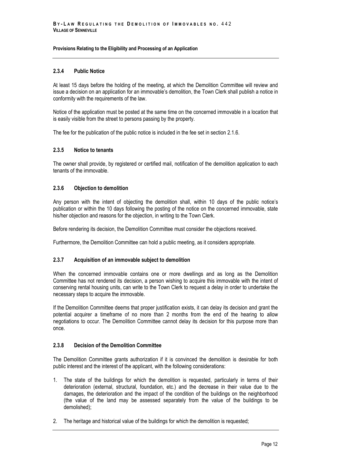### <span id="page-19-0"></span>**2.3.4 Public Notice**

At least 15 days before the holding of the meeting, at which the Demolition Committee will review and issue a decision on an application for an immovable's demolition, the Town Clerk shall publish a notice in conformity with the requirements of the law.

Notice of the application must be posted at the same time on the concerned immovable in a location that is easily visible from the street to persons passing by the property.

<span id="page-19-1"></span>The fee for the publication of the public notice is included in the fee set in section 2.1.6.

### **2.3.5 Notice to tenants**

The owner shall provide, by registered or certified mail, notification of the demolition application to each tenants of the immovable.

### <span id="page-19-2"></span>**2.3.6 Objection to demolition**

Any person with the intent of objecting the demolition shall, within 10 days of the public notice's publication or within the 10 days following the posting of the notice on the concerned immovable, state his/her objection and reasons for the objection, in writing to the Town Clerk.

Before rendering its decision, the Demolition Committee must consider the objections received.

<span id="page-19-3"></span>Furthermore, the Demolition Committee can hold a public meeting, as it considers appropriate.

### **2.3.7 Acquisition of an immovable subject to demolition**

When the concerned immovable contains one or more dwellings and as long as the Demolition Committee has not rendered its decision, a person wishing to acquire this immovable with the intent of conserving rental housing units, can write to the Town Clerk to request a delay in order to undertake the necessary steps to acquire the immovable.

If the Demolition Committee deems that proper justification exists, it can delay its decision and grant the potential acquirer a timeframe of no more than 2 months from the end of the hearing to allow negotiations to occur. The Demolition Committee cannot delay its decision for this purpose more than once.

### <span id="page-19-4"></span>**2.3.8 Decision of the Demolition Committee**

The Demolition Committee grants authorization if it is convinced the demolition is desirable for both public interest and the interest of the applicant, with the following considerations:

- 1. The state of the buildings for which the demolition is requested, particularly in terms of their deterioration (external, structural, foundation, etc.) and the decrease in their value due to the damages, the deterioration and the impact of the condition of the buildings on the neighborhood (the value of the land may be assessed separately from the value of the buildings to be demolished);
- 2. The heritage and historical value of the buildings for which the demolition is requested;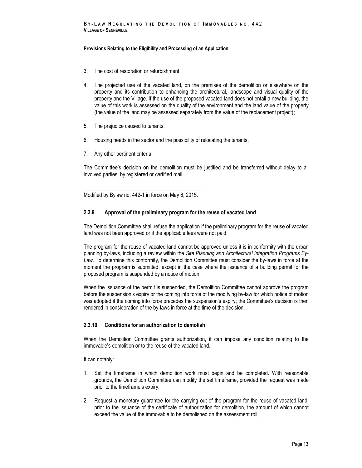- 3. The cost of restoration or refurbishment;
- 4. The projected use of the vacated land, on the premises of the demolition or elsewhere on the property and its contribution to enhancing the architectural, landscape and visual quality of the property and the Village. If the use of the proposed vacated land does not entail a new building, the value of this work is assessed on the quality of the environment and the land value of the property (the value of the land may be assessed separately from the value of the replacement project);
- 5. The prejudice caused to tenants;
- 6. Housing needs in the sector and the possibility of relocating the tenants;
- 7. Any other pertinent criteria.

The Committee's decision on the demolition must be justified and be transferred without delay to all involved parties, by registered or certified mail.

\_\_\_\_\_\_\_\_\_\_\_\_\_\_\_\_\_\_\_\_\_\_\_\_\_\_\_\_\_\_\_\_\_\_\_\_\_\_\_\_\_\_\_\_ Modified by Bylaw no. 442-1 in force on May 6, 2015.

### <span id="page-20-0"></span>**2.3.9 Approval of the preliminary program for the reuse of vacated land**

The Demolition Committee shall refuse the application if the preliminary program for the reuse of vacated land was not been approved or if the applicable fees were not paid.

The program for the reuse of vacated land cannot be approved unless it is in conformity with the urban planning by-laws, including a review within the *Site Planning and Architectural Integration Programs By-*Law. To determine this conformity, the Demolition Committee must consider the by-laws in force at the moment the program is submitted, except in the case where the issuance of a building permit for the proposed program is suspended by a notice of motion.

When the issuance of the permit is suspended, the Demolition Committee cannot approve the program before the suspension's expiry or the coming into force of the modifying by-law for which notice of motion was adopted if the coming into force precedes the suspension's expiry; the Committee's decision is then rendered in consideration of the by-laws in force at the time of the decision.

### <span id="page-20-1"></span>**2.3.10 Conditions for an authorization to demolish**

When the Demolition Committee grants authorization, it can impose any condition relating to the immovable's demolition or to the reuse of the vacated land.

It can notably:

- 1. Set the timeframe in which demolition work must begin and be completed. With reasonable grounds, the Demolition Committee can modify the set timeframe, provided the request was made prior to the timeframe's expiry;
- 2. Request a monetary guarantee for the carrying out of the program for the reuse of vacated land, prior to the issuance of the certificate of authorization for demolition, the amount of which cannot exceed the value of the immovable to be demolished on the assessment roll;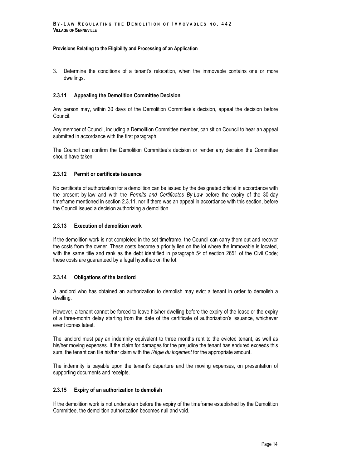3. Determine the conditions of a tenant's relocation, when the immovable contains one or more dwellings.

### <span id="page-21-0"></span>**2.3.11 Appealing the Demolition Committee Decision**

Any person may, within 30 days of the Demolition Committee's decision, appeal the decision before Council.

Any member of Council, including a Demolition Committee member, can sit on Council to hear an appeal submitted in accordance with the first paragraph.

The Council can confirm the Demolition Committee's decision or render any decision the Committee should have taken.

#### <span id="page-21-1"></span>**2.3.12 Permit or certificate issuance**

No certificate of authorization for a demolition can be issued by the designated official in accordance with the present by-law and with the *Permits and Certificates By-Law* before the expiry of the 30-day timeframe mentioned in section 2.3.11, nor if there was an appeal in accordance with this section, before the Council issued a decision authorizing a demolition.

#### <span id="page-21-2"></span>**2.3.13 Execution of demolition work**

If the demolition work is not completed in the set timeframe, the Council can carry them out and recover the costs from the owner. These costs become a priority lien on the lot where the immovable is located, with the same title and rank as the debt identified in paragraph  $5^{\circ}$  of section 2651 of the Civil Code; these costs are guaranteed by a legal hypothec on the lot.

### <span id="page-21-3"></span>**2.3.14 Obligations of the landlord**

A landlord who has obtained an authorization to demolish may evict a tenant in order to demolish a dwelling.

However, a tenant cannot be forced to leave his/her dwelling before the expiry of the lease or the expiry of a three-month delay starting from the date of the certificate of authorization's issuance, whichever event comes latest.

The landlord must pay an indemnity equivalent to three months rent to the evicted tenant, as well as his/her moving expenses. If the claim for damages for the prejudice the tenant has endured exceeds this sum, the tenant can file his/her claim with the *Régie du logement* for the appropriate amount.

The indemnity is payable upon the tenant's departure and the moving expenses, on presentation of supporting documents and receipts.

### <span id="page-21-4"></span>**2.3.15 Expiry of an authorization to demolish**

If the demolition work is not undertaken before the expiry of the timeframe established by the Demolition Committee, the demolition authorization becomes null and void.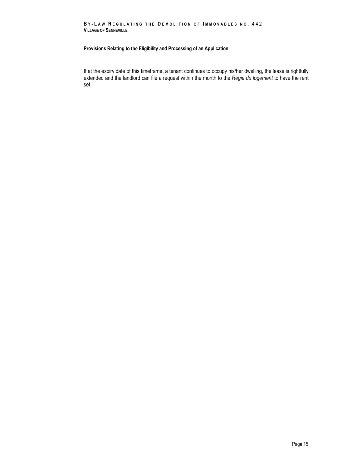#### **B Y - L A W R E G U L A T I N G T H E D E M O L I T I O N OF I M M O V A B L E S N O .** 4 4 2 **VILLAGE OF SENNEVILLE**

### **Provisions Relating to the Eligibility and Processing of an Application**

If at the expiry date of this timeframe, a tenant continues to occupy his/her dwelling, the lease is rightfully extended and the landlord can file a request within the month to the *Régie du logement* to have the rent set.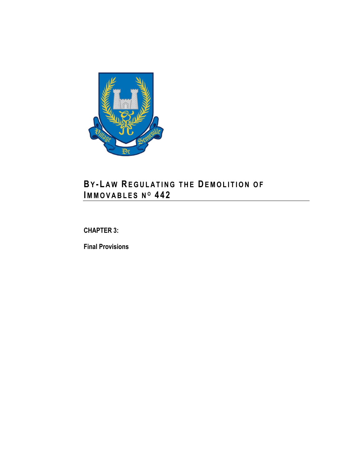

# **BY - L A W RE GU L A T I N G T H E DE M O L I T I O N O F IM M O V A B L E S N <sup>O</sup> 4 4 2**

<span id="page-24-0"></span>**CHAPTER 3:**

**Final Provisions**